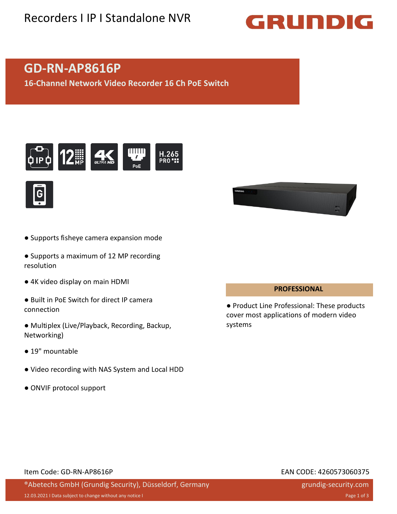## Recorders I IP I Standalone NVR

# GRUNDIG

## **GD-RN-AP8616P**

**16-Channel Network Video Recorder 16 Ch PoE Switch**





- Supports fisheye camera expansion mode
- Supports a maximum of 12 MP recording resolution
- 4K video display on main HDMI
- Built in PoE Switch for direct IP camera connection
- Multiplex (Live/Playback, Recording, Backup, Networking)
- 19" mountable
- Video recording with NAS System and Local HDD
- ONVIF protocol support



#### **PROFESSIONAL**

● Product Line Professional: These products cover most applications of modern video systems

#### Item Code: GD-RN-AP8616P EAN CODE: 4260573060375

### ®Abetechs GmbH (Grundig Security), Düsseldorf, Germany

grundig-security.com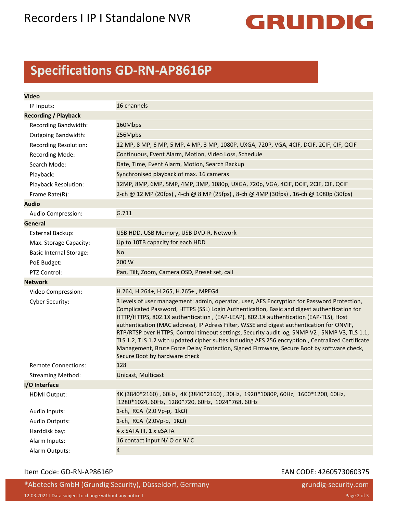

## **Specifications GD-RN-AP8616P**

| <b>Video</b>                   |                                                                                                                                                                                                                                                                                                                                                                                                                                                                                                                                                                                                                                                                                                                      |
|--------------------------------|----------------------------------------------------------------------------------------------------------------------------------------------------------------------------------------------------------------------------------------------------------------------------------------------------------------------------------------------------------------------------------------------------------------------------------------------------------------------------------------------------------------------------------------------------------------------------------------------------------------------------------------------------------------------------------------------------------------------|
| IP Inputs:                     | 16 channels                                                                                                                                                                                                                                                                                                                                                                                                                                                                                                                                                                                                                                                                                                          |
| <b>Recording / Playback</b>    |                                                                                                                                                                                                                                                                                                                                                                                                                                                                                                                                                                                                                                                                                                                      |
| Recording Bandwidth:           | 160Mbps                                                                                                                                                                                                                                                                                                                                                                                                                                                                                                                                                                                                                                                                                                              |
| <b>Outgoing Bandwidth:</b>     | 256Mpbs                                                                                                                                                                                                                                                                                                                                                                                                                                                                                                                                                                                                                                                                                                              |
| Recording Resolution:          | 12 MP, 8 MP, 6 MP, 5 MP, 4 MP, 3 MP, 1080P, UXGA, 720P, VGA, 4CIF, DCIF, 2CIF, CIF, QCIF                                                                                                                                                                                                                                                                                                                                                                                                                                                                                                                                                                                                                             |
| <b>Recording Mode:</b>         | Continuous, Event Alarm, Motion, Video Loss, Schedule                                                                                                                                                                                                                                                                                                                                                                                                                                                                                                                                                                                                                                                                |
| Search Mode:                   | Date, Time, Event Alarm, Motion, Search Backup                                                                                                                                                                                                                                                                                                                                                                                                                                                                                                                                                                                                                                                                       |
| Playback:                      | Synchronised playback of max. 16 cameras                                                                                                                                                                                                                                                                                                                                                                                                                                                                                                                                                                                                                                                                             |
| Playback Resolution:           | 12MP, 8MP, 6MP, 5MP, 4MP, 3MP, 1080p, UXGA, 720p, VGA, 4CIF, DCIF, 2CIF, CIF, QCIF                                                                                                                                                                                                                                                                                                                                                                                                                                                                                                                                                                                                                                   |
| Frame Rate(R):                 | 2-ch @ 12 MP (20fps), 4-ch @ 8 MP (25fps), 8-ch @ 4MP (30fps), 16-ch @ 1080p (30fps)                                                                                                                                                                                                                                                                                                                                                                                                                                                                                                                                                                                                                                 |
| <b>Audio</b>                   |                                                                                                                                                                                                                                                                                                                                                                                                                                                                                                                                                                                                                                                                                                                      |
| Audio Compression:             | G.711                                                                                                                                                                                                                                                                                                                                                                                                                                                                                                                                                                                                                                                                                                                |
| <b>General</b>                 |                                                                                                                                                                                                                                                                                                                                                                                                                                                                                                                                                                                                                                                                                                                      |
| <b>External Backup:</b>        | USB HDD, USB Memory, USB DVD-R, Network                                                                                                                                                                                                                                                                                                                                                                                                                                                                                                                                                                                                                                                                              |
| Max. Storage Capacity:         | Up to 10TB capacity for each HDD                                                                                                                                                                                                                                                                                                                                                                                                                                                                                                                                                                                                                                                                                     |
| <b>Basic Internal Storage:</b> | <b>No</b>                                                                                                                                                                                                                                                                                                                                                                                                                                                                                                                                                                                                                                                                                                            |
| PoE Budget:                    | 200 W                                                                                                                                                                                                                                                                                                                                                                                                                                                                                                                                                                                                                                                                                                                |
| PTZ Control:                   | Pan, Tilt, Zoom, Camera OSD, Preset set, call                                                                                                                                                                                                                                                                                                                                                                                                                                                                                                                                                                                                                                                                        |
| <b>Network</b>                 |                                                                                                                                                                                                                                                                                                                                                                                                                                                                                                                                                                                                                                                                                                                      |
| Video Compression:             | H.264, H.264+, H.265, H.265+, MPEG4                                                                                                                                                                                                                                                                                                                                                                                                                                                                                                                                                                                                                                                                                  |
| Cyber Security:                | 3 levels of user management: admin, operator, user, AES Encryption for Password Protection,<br>Complicated Password, HTTPS (SSL) Login Authentication, Basic and digest authentication for<br>HTTP/HTTPS, 802.1X authentication, (EAP-LEAP), 802.1X authentication (EAP-TLS), Host<br>authentication (MAC address), IP Adress Filter, WSSE and digest authentication for ONVIF,<br>RTP/RTSP over HTTPS, Control timeout settings, Security audit log, SNMP V2, SNMP V3, TLS 1.1,<br>TLS 1.2, TLS 1.2 with updated cipher suites including AES 256 encryption., Centralized Certificate<br>Management, Brute Force Delay Protection, Signed Firmware, Secure Boot by software check,<br>Secure Boot by hardware check |
| <b>Remote Connections:</b>     | 128                                                                                                                                                                                                                                                                                                                                                                                                                                                                                                                                                                                                                                                                                                                  |
| <b>Streaming Method:</b>       | Unicast, Multicast                                                                                                                                                                                                                                                                                                                                                                                                                                                                                                                                                                                                                                                                                                   |
| I/O Interface                  |                                                                                                                                                                                                                                                                                                                                                                                                                                                                                                                                                                                                                                                                                                                      |
| <b>HDMI Output:</b>            | 4K (3840*2160), 60Hz, 4K (3840*2160), 30Hz, 1920*1080P, 60Hz, 1600*1200, 60Hz,<br>1280*1024, 60Hz, 1280*720, 60Hz, 1024*768, 60Hz                                                                                                                                                                                                                                                                                                                                                                                                                                                                                                                                                                                    |
| Audio Inputs:                  | 1-ch, RCA $(2.0 Vp-p, 1k\Omega)$                                                                                                                                                                                                                                                                                                                                                                                                                                                                                                                                                                                                                                                                                     |
| Audio Outputs:                 | 1-ch, RCA $(2.0Vp-p, 1K\Omega)$                                                                                                                                                                                                                                                                                                                                                                                                                                                                                                                                                                                                                                                                                      |
| Harddisk bay:                  | 4 x SATA III, 1 x eSATA                                                                                                                                                                                                                                                                                                                                                                                                                                                                                                                                                                                                                                                                                              |
| Alarm Inputs:                  | 16 contact input N/O or N/C                                                                                                                                                                                                                                                                                                                                                                                                                                                                                                                                                                                                                                                                                          |
| Alarm Outputs:                 | $\overline{4}$                                                                                                                                                                                                                                                                                                                                                                                                                                                                                                                                                                                                                                                                                                       |

#### Item Code: GD-RN-AP8616P each control of the CODE: 4260573060375

®Abetechs GmbH (Grundig Security), Düsseldorf, Germany 12.03.2021 I Data subject to change without any notice I Page 2 of 3